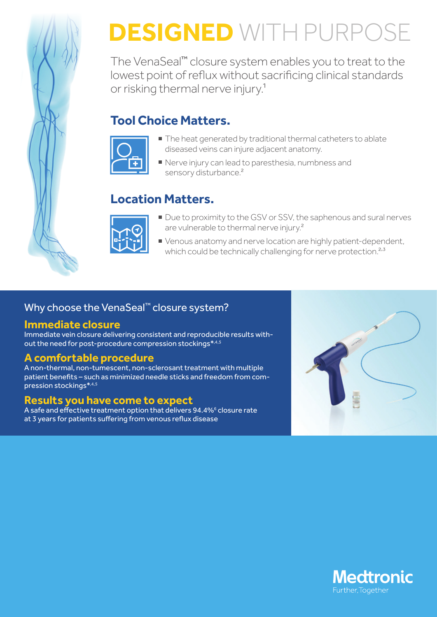

# **DESIGNED** WITH PURPOSE

The VenaSeal™ closure system enables you to treat to the lowest point of reflux without sacrificing clinical standards or risking thermal nerve injury.1

## **Tool Choice Matters.**



- $\blacksquare$  The heat generated by traditional thermal catheters to ablate diseased veins can injure adjacent anatomy.
- Nerve injury can lead to paresthesia, numbness and sensory disturbance.<sup>2</sup>

# **Location Matters.**



- Due to proximity to the GSV or SSV, the saphenous and sural nerves are vulnerable to thermal nerve injury.<sup>2</sup>
- Uenous anatomy and nerve location are highly patient-dependent, which could be technically challenging for nerve protection.<sup>2,3</sup>

## Why choose the VenaSeal<sup>™</sup> closure system?

#### **Immediate closure**

Immediate vein closure delivering consistent and reproducible results without the need for post-procedure compression stockings\*,4,5

## **A comfortable procedure**

A non-thermal, non-tumescent, non-sclerosant treatment with multiple patient benefits – such as minimized needle sticks and freedom from compression stockings\*,4,5

#### **Results you have come to expect**

A safe and effective treatment option that delivers 94.4%<sup>6</sup> closure rate at 3 years for patients suffering from venous reflux disease